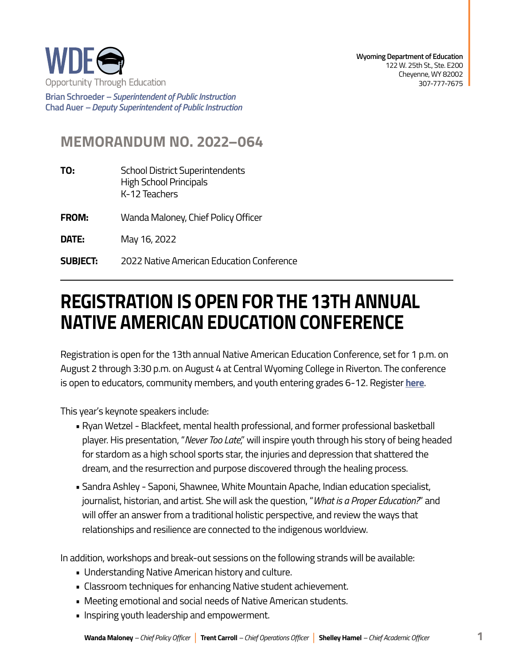

**Brian Schroeder –***Superintendent of Public Instruction*  **Chad Auer** *– Deputy Superintendent of Public Instruction* 

## **MEMORANDUM NO. 2022–064**

- **TO:** School District Superintendents High School Principals K-12 Teachers
- **FROM:** Wanda Maloney, Chief Policy Officer
- **DATE:** May 16, 2022
- **SUBJECT:** 2022 Native American Education Conference

## **REGISTRATION IS OPEN FOR THE 13TH ANNUAL NATIVE AMERICAN EDUCATION CONFERENCE**

Registration is open for the 13th annual Native American Education Conference, set for 1 p.m. on August 2 through 3:30 p.m. on August 4 at Central Wyoming College in Riverton. The conference is open to educators, community members, and youth entering grades 6-12. Register **[here](https://www.eventbrite.com/e/2022-native-american-education-conference-tickets-320344999517)**.

This year's keynote speakers include:

- Ryan Wetzel Blackfeet, mental health professional, and former professional basketball player. His presentation, "*Never Too Late*," will inspire youth through his story of being headed for stardom as a high school sports star, the injuries and depression that shattered the dream, and the resurrection and purpose discovered through the healing process.
- Sandra Ashley Saponi, Shawnee, White Mountain Apache, Indian education specialist, journalist, historian, and artist. She will ask the question, "*What is a Proper Education?*" and will offer an answer from a traditional holistic perspective, and review the ways that relationships and resilience are connected to the indigenous worldview.

In addition, workshops and break-out sessions on the following strands will be available:

- Understanding Native American history and culture.
- Classroom techniques for enhancing Native student achievement.
- Meeting emotional and social needs of Native American students.
- Inspiring youth leadership and empowerment.